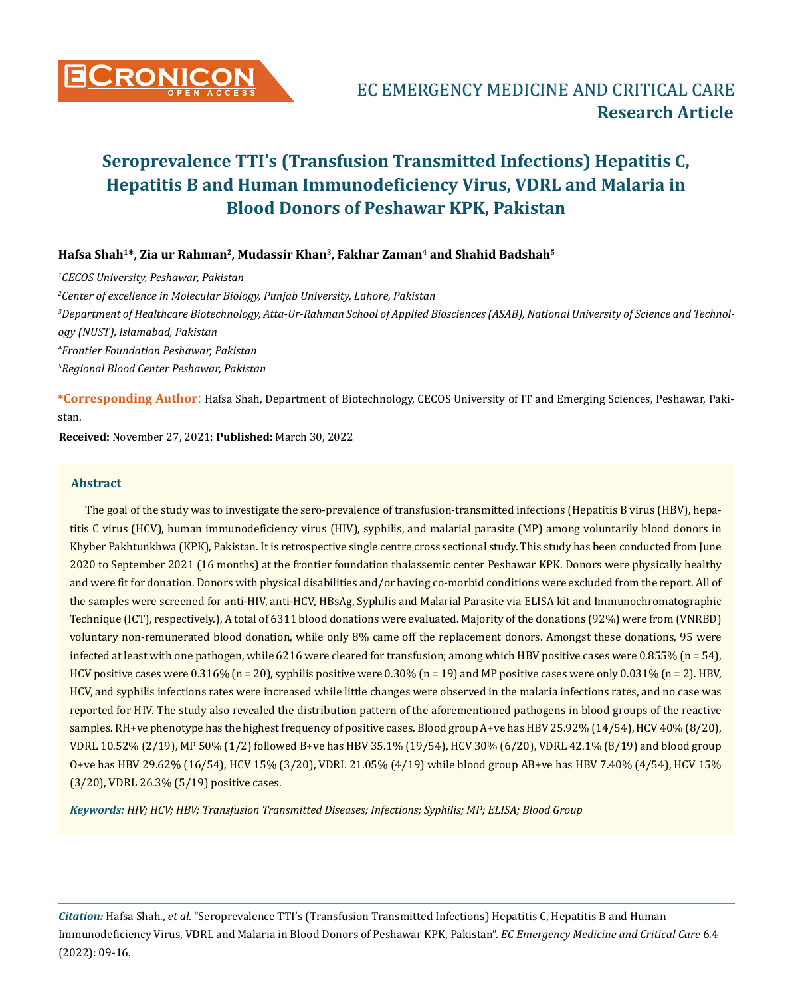

## **Hafsa Shah1\*, Zia ur Rahman2, Mudassir Khan<sup>3</sup>, Fakhar Zaman4 and Shahid Badshah5**

 *CECOS University, Peshawar, Pakistan Center of excellence in Molecular Biology, Punjab University, Lahore, Pakistan Department of Healthcare Biotechnology, Atta-Ur-Rahman School of Applied Biosciences (ASAB), National University of Science and Technology (NUST), Islamabad, Pakistan Frontier Foundation Peshawar, Pakistan Regional Blood Center Peshawar, Pakistan* 

**\*Corresponding Author**: Hafsa Shah, Department of Biotechnology, CECOS University of IT and Emerging Sciences, Peshawar, Pakistan.

**Received:** November 27, 2021; **Published:** March 30, 2022

#### **Abstract**

The goal of the study was to investigate the sero-prevalence of transfusion-transmitted infections (Hepatitis B virus (HBV), hepatitis C virus (HCV), human immunodeficiency virus (HIV), syphilis, and malarial parasite (MP) among voluntarily blood donors in Khyber Pakhtunkhwa (KPK), Pakistan. It is retrospective single centre cross sectional study. This study has been conducted from June 2020 to September 2021 (16 months) at the frontier foundation thalassemic center Peshawar KPK. Donors were physically healthy and were fit for donation. Donors with physical disabilities and/or having co-morbid conditions were excluded from the report. All of the samples were screened for anti-HIV, anti-HCV, HBsAg, Syphilis and Malarial Parasite via ELISA kit and Immunochromatographic Technique (ICT), respectively.), A total of 6311 blood donations were evaluated. Majority of the donations (92%) were from (VNRBD) voluntary non-remunerated blood donation, while only 8% came off the replacement donors. Amongst these donations, 95 were infected at least with one pathogen, while 6216 were cleared for transfusion; among which HBV positive cases were 0.855% (n = 54), HCV positive cases were 0.316% (n = 20), syphilis positive were 0.30% (n = 19) and MP positive cases were only 0.031% (n = 2). HBV, HCV, and syphilis infections rates were increased while little changes were observed in the malaria infections rates, and no case was reported for HIV. The study also revealed the distribution pattern of the aforementioned pathogens in blood groups of the reactive samples. RH+ve phenotype has the highest frequency of positive cases. Blood group A+ve has HBV 25.92% (14/54), HCV 40% (8/20), VDRL 10.52% (2/19), MP 50% (1/2) followed B+ve has HBV 35.1% (19/54), HCV 30% (6/20), VDRL 42.1% (8/19) and blood group O+ve has HBV 29.62% (16/54), HCV 15% (3/20), VDRL 21.05% (4/19) while blood group AB+ve has HBV 7.40% (4/54), HCV 15% (3/20), VDRL 26.3% (5/19) positive cases.

*Keywords: HIV; HCV; HBV; Transfusion Transmitted Diseases; Infections; Syphilis; MP; ELISA; Blood Group*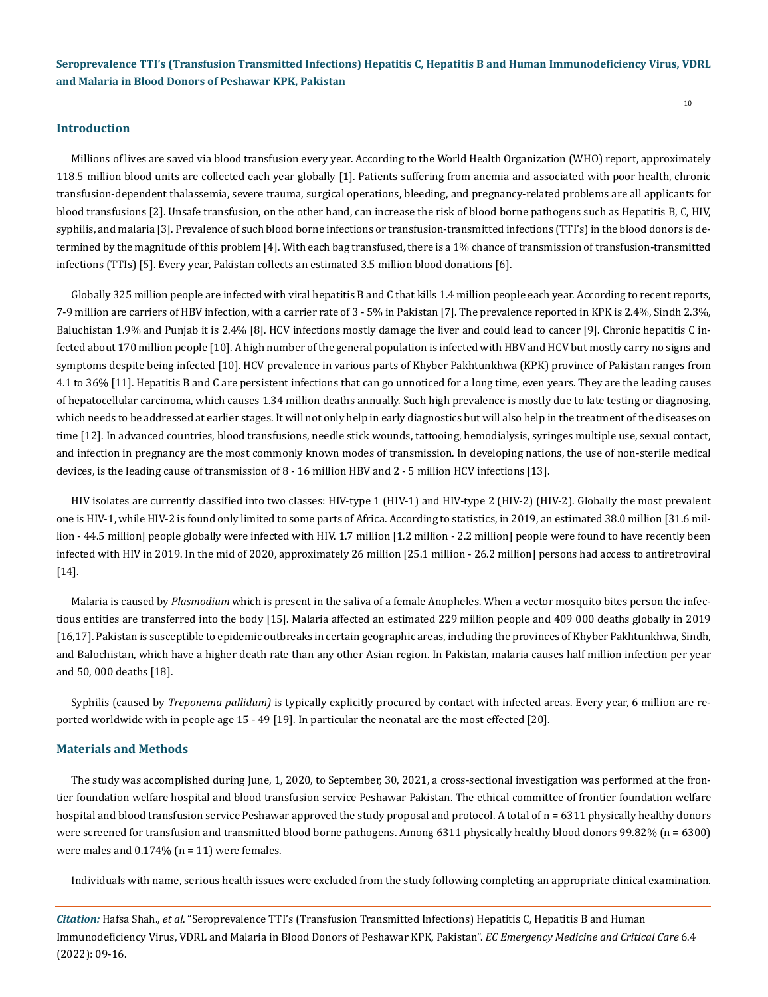#### **Introduction**

Millions of lives are saved via blood transfusion every year. According to the World Health Organization (WHO) report, approximately 118.5 million blood units are collected each year globally [1]. Patients suffering from anemia and associated with poor health, chronic transfusion-dependent thalassemia, severe trauma, surgical operations, bleeding, and pregnancy-related problems are all applicants for blood transfusions [2]. Unsafe transfusion, on the other hand, can increase the risk of blood borne pathogens such as Hepatitis B, C, HIV, syphilis, and malaria [3]. Prevalence of such blood borne infections or transfusion-transmitted infections (TTI's) in the blood donors is determined by the magnitude of this problem [4]. With each bag transfused, there is a 1% chance of transmission of transfusion-transmitted infections (TTIs) [5]. Every year, Pakistan collects an estimated 3.5 million blood donations [6].

Globally 325 million people are infected with viral hepatitis B and C that kills 1.4 million people each year. According to recent reports, 7-9 million are carriers of HBV infection, with a carrier rate of 3 - 5% in Pakistan [7]. The prevalence reported in KPK is 2.4%, Sindh 2.3%, Baluchistan 1.9% and Punjab it is 2.4% [8]. HCV infections mostly damage the liver and could lead to cancer [9]. Chronic hepatitis C infected about 170 million people [10]. A high number of the general population is infected with HBV and HCV but mostly carry no signs and symptoms despite being infected [10]. HCV prevalence in various parts of Khyber Pakhtunkhwa (KPK) province of Pakistan ranges from 4.1 to 36% [11]. Hepatitis B and C are persistent infections that can go unnoticed for a long time, even years. They are the leading causes of hepatocellular carcinoma, which causes 1.34 million deaths annually. Such high prevalence is mostly due to late testing or diagnosing, which needs to be addressed at earlier stages. It will not only help in early diagnostics but will also help in the treatment of the diseases on time [12]. In advanced countries, blood transfusions, needle stick wounds, tattooing, hemodialysis, syringes multiple use, sexual contact, and infection in pregnancy are the most commonly known modes of transmission. In developing nations, the use of non-sterile medical devices, is the leading cause of transmission of 8 - 16 million HBV and 2 - 5 million HCV infections [13].

HIV isolates are currently classified into two classes: HIV-type 1 (HIV-1) and HIV-type 2 (HIV-2) (HIV-2). Globally the most prevalent one is HIV-1, while HIV-2 is found only limited to some parts of Africa. According to statistics, in 2019, an estimated 38.0 million [31.6 million - 44.5 million] people globally were infected with HIV. 1.7 million [1.2 million - 2.2 million] people were found to have recently been infected with HIV in 2019. In the mid of 2020, approximately 26 million [25.1 million - 26.2 million] persons had access to antiretroviral [14].

Malaria is caused by *Plasmodium* which is present in the saliva of a female Anopheles. When a vector mosquito bites person the infectious entities are transferred into the body [15]. Malaria affected an estimated 229 million people and 409 000 deaths globally in 2019 [16,17]. Pakistan is susceptible to epidemic outbreaks in certain geographic areas, including the provinces of Khyber Pakhtunkhwa, Sindh, and Balochistan, which have a higher death rate than any other Asian region. In Pakistan, malaria causes half million infection per year and 50, 000 deaths [18].

Syphilis (caused by *Treponema pallidum)* is typically explicitly procured by contact with infected areas. Every year, 6 million are reported worldwide with in people age 15 - 49 [19]. In particular the neonatal are the most effected [20].

#### **Materials and Methods**

The study was accomplished during June, 1, 2020, to September, 30, 2021, a cross-sectional investigation was performed at the frontier foundation welfare hospital and blood transfusion service Peshawar Pakistan. The ethical committee of frontier foundation welfare hospital and blood transfusion service Peshawar approved the study proposal and protocol. A total of n = 6311 physically healthy donors were screened for transfusion and transmitted blood borne pathogens. Among 6311 physically healthy blood donors 99.82% (n = 6300) were males and  $0.174\%$  (n = 11) were females.

Individuals with name, serious health issues were excluded from the study following completing an appropriate clinical examination.

*Citation:* Hafsa Shah., *et al*. "Seroprevalence TTI's (Transfusion Transmitted Infections) Hepatitis C, Hepatitis B and Human Immunodeficiency Virus, VDRL and Malaria in Blood Donors of Peshawar KPK, Pakistan". *EC Emergency Medicine and Critical Care* 6.4 (2022): 09-16.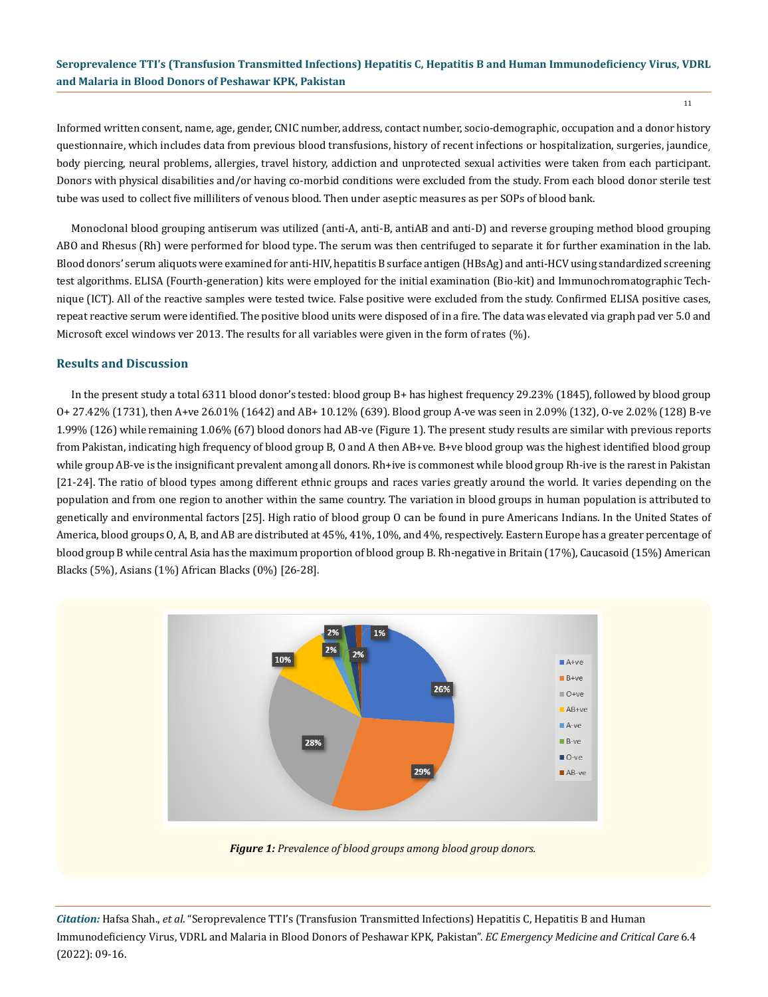Informed written consent, name, age, gender, CNIC number, address, contact number, socio-demographic, occupation and a donor history questionnaire, which includes data from previous blood transfusions, history of recent infections or hospitalization, surgeries, jaundice, body piercing, neural problems, allergies, travel history, addiction and unprotected sexual activities were taken from each participant. Donors with physical disabilities and/or having co-morbid conditions were excluded from the study. From each blood donor sterile test tube was used to collect five milliliters of venous blood. Then under aseptic measures as per SOPs of blood bank.

Monoclonal blood grouping antiserum was utilized (anti-A, anti-B, antiAB and anti-D) and reverse grouping method blood grouping ABO and Rhesus (Rh) were performed for blood type. The serum was then centrifuged to separate it for further examination in the lab. Blood donors' serum aliquots were examined for anti-HIV, hepatitis B surface antigen (HBsAg) and anti-HCV using standardized screening test algorithms. ELISA (Fourth-generation) kits were employed for the initial examination (Bio-kit) and Immunochromatographic Technique (ICT). All of the reactive samples were tested twice. False positive were excluded from the study. Confirmed ELISA positive cases, repeat reactive serum were identified. The positive blood units were disposed of in a fire. The data was elevated via graph pad ver 5.0 and Microsoft excel windows ver 2013. The results for all variables were given in the form of rates (%).

#### **Results and Discussion**

In the present study a total 6311 blood donor's tested: blood group B+ has highest frequency 29.23% (1845), followed by blood group O+ 27.42% (1731), then A+ve 26.01% (1642) and AB+ 10.12% (639). Blood group A-ve was seen in 2.09% (132), O-ve 2.02% (128) B-ve 1.99% (126) while remaining 1.06% (67) blood donors had AB-ve (Figure 1). The present study results are similar with previous reports from Pakistan, indicating high frequency of blood group B, O and A then AB+ve. B+ve blood group was the highest identified blood group while group AB-ve is the insignificant prevalent among all donors. Rh+ive is commonest while blood group Rh-ive is the rarest in Pakistan [21-24]. The ratio of blood types among different ethnic groups and races varies greatly around the world. It varies depending on the population and from one region to another within the same country. The variation in blood groups in human population is attributed to genetically and environmental factors [25]. High ratio of blood group O can be found in pure Americans Indians. In the United States of America, blood groups O, A, B, and AB are distributed at 45%, 41%, 10%, and 4%, respectively. Eastern Europe has a greater percentage of blood group B while central Asia has the maximum proportion of blood group B. Rh-negative in Britain (17%), Caucasoid (15%) American Blacks (5%), Asians (1%) African Blacks (0%) [26-28].



*Figure 1: Prevalence of blood groups among blood group donors.*

*Citation:* Hafsa Shah., *et al*. "Seroprevalence TTI's (Transfusion Transmitted Infections) Hepatitis C, Hepatitis B and Human Immunodeficiency Virus, VDRL and Malaria in Blood Donors of Peshawar KPK, Pakistan". *EC Emergency Medicine and Critical Care* 6.4 (2022): 09-16.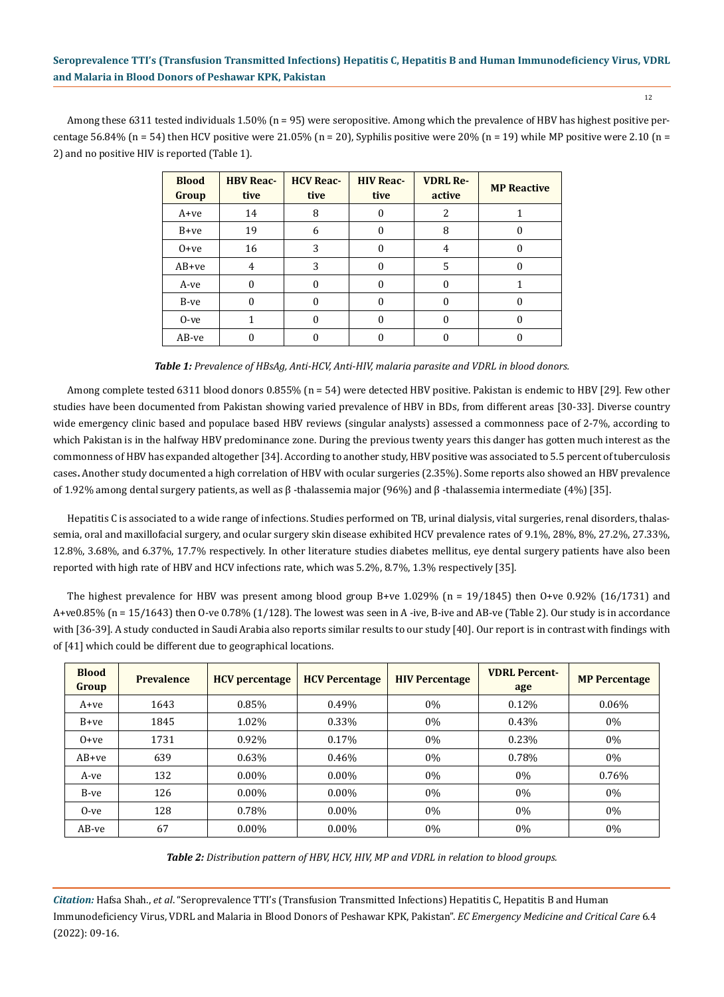12

Among these 6311 tested individuals 1.50% (n = 95) were seropositive. Among which the prevalence of HBV has highest positive percentage  $56.84\%$  (n = 54) then HCV positive were  $21.05\%$  (n = 20), Syphilis positive were  $20\%$  (n = 19) while MP positive were 2.10 (n = 2) and no positive HIV is reported (Table 1).

| <b>Blood</b><br>Group | <b>HBV Reac-</b><br>tive | <b>HCV Reac-</b><br>tive | <b>HIV Reac-</b><br>tive | <b>VDRL Re-</b><br>active | <b>MP Reactive</b> |
|-----------------------|--------------------------|--------------------------|--------------------------|---------------------------|--------------------|
| A+ve                  | 14                       | 8                        | 0                        | 2                         |                    |
| B+ve                  | 19                       | 6                        | 0                        | 8                         |                    |
| $0 + ve$              | 16                       | 3                        | 0                        | 4                         |                    |
| $AB+ve$               | 4                        | 3                        | 0                        | 5                         |                    |
| A-ve                  | $\theta$                 | 0                        | 0                        | 0                         |                    |
| B-ve                  | $\Omega$                 | 0                        | 0                        | 0                         |                    |
| $0$ -ve               |                          | 0                        | 0                        | 0                         | 0                  |
| AB-ve                 |                          |                          |                          |                           |                    |

*Table 1: Prevalence of HBsAg, Anti-HCV, Anti-HIV, malaria parasite and VDRL in blood donors.*

Among complete tested 6311 blood donors 0.855% (n = 54) were detected HBV positive. Pakistan is endemic to HBV [29]. Few other studies have been documented from Pakistan showing varied prevalence of HBV in BDs, from different areas [30-33]. Diverse country wide emergency clinic based and populace based HBV reviews (singular analysts) assessed a commonness pace of 2-7%, according to which Pakistan is in the halfway HBV predominance zone. During the previous twenty years this danger has gotten much interest as the commonness of HBV has expanded altogether [34]. According to another study, HBV positive was associated to 5.5 percent of tuberculosis cases**.** Another study documented a high correlation of HBV with ocular surgeries (2.35%). Some reports also showed an HBV prevalence of 1.92% among dental surgery patients, as well as β -thalassemia major (96%) and β -thalassemia intermediate (4%) [35].

Hepatitis C is associated to a wide range of infections. Studies performed on TB, urinal dialysis, vital surgeries, renal disorders, thalassemia, oral and maxillofacial surgery, and ocular surgery skin disease exhibited HCV prevalence rates of 9.1%, 28%, 8%, 27.2%, 27.33%, 12.8%, 3.68%, and 6.37%, 17.7% respectively. In other literature studies diabetes mellitus, eye dental surgery patients have also been reported with high rate of HBV and HCV infections rate, which was 5.2%, 8.7%, 1.3% respectively [35].

The highest prevalence for HBV was present among blood group B+ve  $1.029\%$  (n = 19/1845) then O+ve 0.92% (16/1731) and A+ve0.85% (n = 15/1643) then O-ve 0.78% (1/128). The lowest was seen in A -ive, B-ive and AB-ve (Table 2). Our study is in accordance with [36-39]. A study conducted in Saudi Arabia also reports similar results to our study [40]. Our report is in contrast with findings with of [41] which could be different due to geographical locations.

| <b>Blood</b><br>Group | <b>Prevalence</b> | <b>HCV</b> percentage | <b>HCV Percentage</b> | <b>HIV Percentage</b> | <b>VDRL Percent-</b><br>age | <b>MP Percentage</b> |
|-----------------------|-------------------|-----------------------|-----------------------|-----------------------|-----------------------------|----------------------|
| A+ve                  | 1643              | 0.85%                 | 0.49%                 | $0\%$                 | 0.12%                       | $0.06\%$             |
| $B+ve$                | 1845              | 1.02%                 | 0.33%                 | $0\%$                 | 0.43%                       | $0\%$                |
| $0+ve$                | 1731              | 0.92%                 | 0.17%                 | $0\%$                 | 0.23%                       | 0%                   |
| $AB+ve$               | 639               | 0.63%                 | 0.46%                 | $0\%$                 | 0.78%                       | $0\%$                |
| A-ve                  | 132               | $0.00\%$              | $0.00\%$              | $0\%$                 | $0\%$                       | 0.76%                |
| B-ve                  | 126               | $0.00\%$              | $0.00\%$              | $0\%$                 | $0\%$                       | $0\%$                |
| $0$ -ve               | 128               | 0.78%                 | $0.00\%$              | $0\%$                 | $0\%$                       | 0%                   |
| AB-ve                 | 67                | $0.00\%$              | $0.00\%$              | $0\%$                 | $0\%$                       | $0\%$                |

*Table 2: Distribution pattern of HBV, HCV, HIV, MP and VDRL in relation to blood groups.*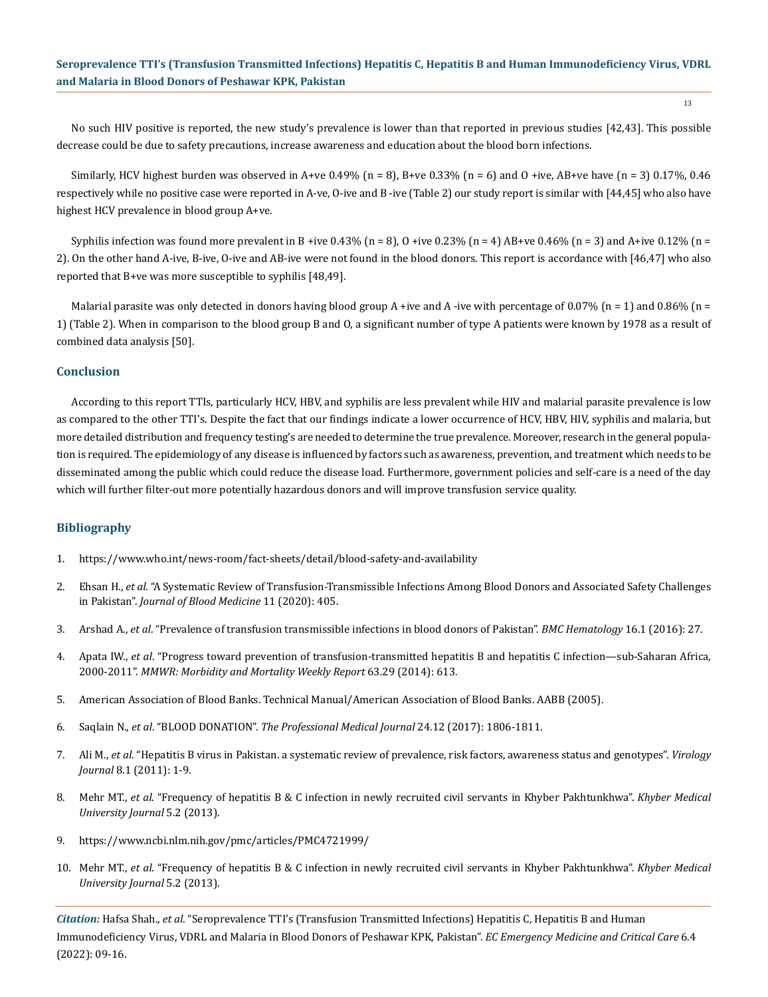No such HIV positive is reported, the new study's prevalence is lower than that reported in previous studies [42,43]. This possible decrease could be due to safety precautions, increase awareness and education about the blood born infections.

Similarly, HCV highest burden was observed in A+ve 0.49% (n = 8), B+ve 0.33% (n = 6) and O +ive, AB+ve have (n = 3) 0.17%, 0.46 respectively while no positive case were reported in A-ve, O-ive and B -ive (Table 2) our study report is similar with [44,45] who also have highest HCV prevalence in blood group A+ve.

Syphilis infection was found more prevalent in B +ive 0.43% (n = 8), O +ive 0.23% (n = 4) AB+ve 0.46% (n = 3) and A+ive 0.12% (n = 2). On the other hand A-ive, B-ive, O-ive and AB-ive were not found in the blood donors. This report is accordance with [46,47] who also reported that B+ve was more susceptible to syphilis [48,49].

Malarial parasite was only detected in donors having blood group A +ive and A -ive with percentage of 0.07% (n = 1) and 0.86% (n = 1) (Table 2). When in comparison to the blood group B and O, a significant number of type A patients were known by 1978 as a result of combined data analysis [50].

#### **Conclusion**

According to this report TTIs, particularly HCV, HBV, and syphilis are less prevalent while HIV and malarial parasite prevalence is low as compared to the other TTI's. Despite the fact that our findings indicate a lower occurrence of HCV, HBV, HIV, syphilis and malaria, but more detailed distribution and frequency testing's are needed to determine the true prevalence. Moreover, research in the general population is required. The epidemiology of any disease is influenced by factors such as awareness, prevention, and treatment which needs to be disseminated among the public which could reduce the disease load. Furthermore, government policies and self-care is a need of the day which will further filter-out more potentially hazardous donors and will improve transfusion service quality.

#### **Bibliography**

- 1. <https://www.who.int/news-room/fact-sheets/detail/blood-safety-and-availability>
- 2. Ehsan H., *et al*[. "A Systematic Review of Transfusion-Transmissible Infections Among Blood Donors and Associated Safety Challenges](https://pubmed.ncbi.nlm.nih.gov/33173367/)  in Pakistan". *[Journal of Blood Medicine](https://pubmed.ncbi.nlm.nih.gov/33173367/)* 11 (2020): 405.
- 3. Arshad A., *et al*[. "Prevalence of transfusion transmissible infections in blood donors of Pakistan".](https://pubmed.ncbi.nlm.nih.gov/27891232/) *BMC Hematology* 16.1 (2016): 27.
- 4. Apata IW., *et al*[. "Progress toward prevention of transfusion-transmitted hepatitis B and hepatitis C infection—sub-Saharan Africa,](https://pubmed.ncbi.nlm.nih.gov/25055184/)  2000-2011". *[MMWR: Morbidity and Mortality Weekly Report](https://pubmed.ncbi.nlm.nih.gov/25055184/)* 63.29 (2014): 613.
- 5. [American Association of Blood Banks. Technical Manual/American Association of Blood Banks. AABB \(2005\).](http://www.eqas.ir/pdf/lib/AABB%20Technical%20Manual%2015TH.pdf)
- 6. Saqlain N., *et al*. "BLOOD DONATION". *The Professional Medical Journal* 24.12 (2017): 1806-1811.
- 7. Ali M., *et al*[. "Hepatitis B virus in Pakistan. a systematic review of prevalence, risk factors, awareness status and genotypes".](https://pubmed.ncbi.nlm.nih.gov/21375760/) *Virology Journal* [8.1 \(2011\): 1-9.](https://pubmed.ncbi.nlm.nih.gov/21375760/)
- 8. Mehr MT., *et al*[. "Frequency of hepatitis B & C infection in newly recruited civil servants in Khyber Pakhtunkhwa".](https://www.kmuj.kmu.edu.pk/article/view/95-97) *Khyber Medical [University Journal](https://www.kmuj.kmu.edu.pk/article/view/95-97)* 5.2 (2013).
- 9. <https://www.ncbi.nlm.nih.gov/pmc/articles/PMC4721999/>
- 10. Mehr MT., *et al*[. "Frequency of hepatitis B & C infection in newly recruited civil servants in Khyber Pakhtunkhwa".](https://www.kmuj.kmu.edu.pk/article/view/95-97) *Khyber Medical [University Journal](https://www.kmuj.kmu.edu.pk/article/view/95-97)* 5.2 (2013).

*Citation:* Hafsa Shah., *et al*. "Seroprevalence TTI's (Transfusion Transmitted Infections) Hepatitis C, Hepatitis B and Human Immunodeficiency Virus, VDRL and Malaria in Blood Donors of Peshawar KPK, Pakistan". *EC Emergency Medicine and Critical Care* 6.4 (2022): 09-16.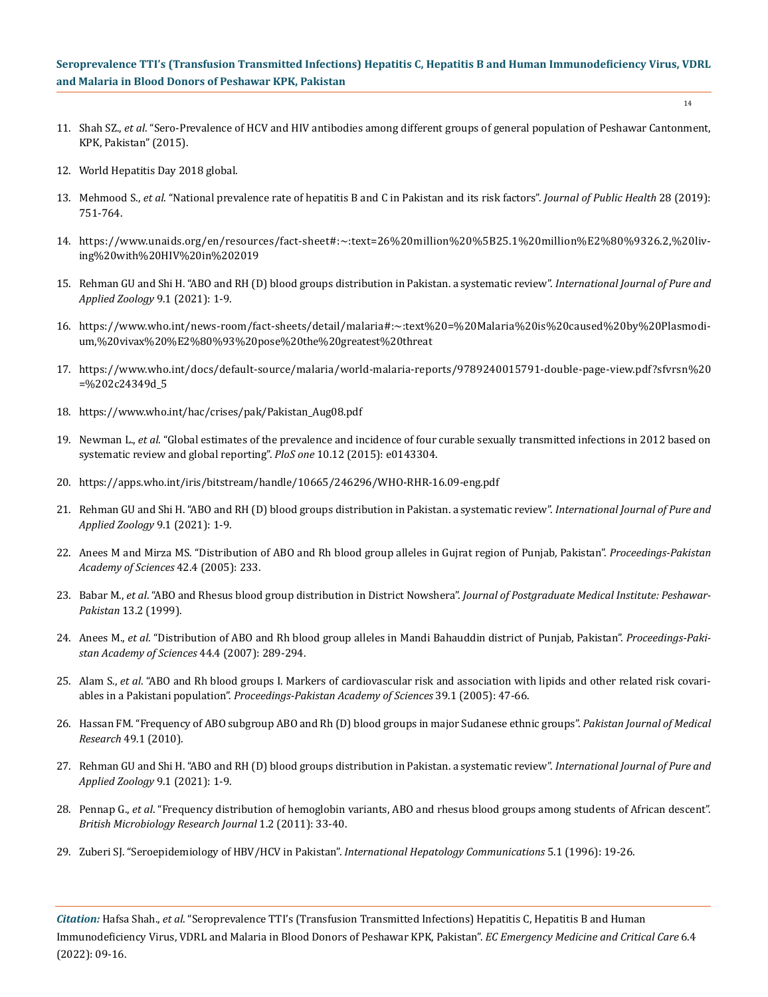- 14
- 11. Shah SZ., *et al*[. "Sero-Prevalence of HCV and HIV antibodies among different groups of general population of Peshawar Cantonment,](https://www.researchgate.net/publication/281557803_Sero-Prevalence_of_HCV_and_HIV_antibodies_among_different_groups_of_general_population_of_Peshawar_Cantonment_KPK_Pakistan)  [KPK, Pakistan" \(2015\).](https://www.researchgate.net/publication/281557803_Sero-Prevalence_of_HCV_and_HIV_antibodies_among_different_groups_of_general_population_of_Peshawar_Cantonment_KPK_Pakistan)
- 12. [World Hepatitis Day 2018 global.](https://www.who.int/campaigns/world-hepatitis-day/2018)
- 13. Mehmood S., *et al*[. "National prevalence rate of hepatitis B and C in Pakistan and its risk factors".](https://link.springer.com/article/10.1007/s10389-019-01081-5) *Journal of Public Health* 28 (2019): [751-764.](https://link.springer.com/article/10.1007/s10389-019-01081-5)
- 14. [https://www.unaids.org/en/resources/fact-sheet#:~:text=26%20million%20%5B25.1%20million%E2%80%9326.2,%20liv](https://www.unaids.org/en/resources/fact-sheet#:~:text=26%20million%20%5B25.1%20million%E2%80%9326.2,%20living%20with%20HIV%20in%202019)[ing%20with%20HIV%20in%202019](https://www.unaids.org/en/resources/fact-sheet#:~:text=26%20million%20%5B25.1%20million%E2%80%9326.2,%20living%20with%20HIV%20in%202019)
- 15. [Rehman GU and Shi H. "ABO and RH \(D\) blood groups distribution in Pakistan. a systematic review".](https://www.researchgate.net/publication/349766727_ABO_and_Rh_D_Blood_Groups_distribution_in_Pakistan_A_systematic_review) *International Journal of Pure and [Applied Zoology](https://www.researchgate.net/publication/349766727_ABO_and_Rh_D_Blood_Groups_distribution_in_Pakistan_A_systematic_review)* 9.1 (2021): 1-9.
- 16. [https://www.who.int/news-room/fact-sheets/detail/malaria#:~:text%20=%20Malaria%20is%20caused%20by%20Plasmodi](https://www.who.int/news-room/fact-sheets/detail/malaria#:~:text%20=%20Malaria%20is%20caused%20by%20Plasmodium,%20vivax%20%E2%80%93%20pose%20the%20greatest%20threat)[um,%20vivax%20%E2%80%93%20pose%20the%20greatest%20threat](https://www.who.int/news-room/fact-sheets/detail/malaria#:~:text%20=%20Malaria%20is%20caused%20by%20Plasmodium,%20vivax%20%E2%80%93%20pose%20the%20greatest%20threat)
- 17. [https://www.who.int/docs/default-source/malaria/world-malaria-reports/9789240015791-double-page-view.pdf?sfvrsn%20](https://www.who.int/docs/default-source/malaria/world-malaria-reports/9789240015791-double-page-view.pdf?sfvrsn%20=%202c24349d_5) [=%202c24349d\\_5](https://www.who.int/docs/default-source/malaria/world-malaria-reports/9789240015791-double-page-view.pdf?sfvrsn%20=%202c24349d_5)
- 18. [https://www.who.int/hac/crises/pak/Pakistan\\_Aug08.pdf](https://www.who.int/hac/crises/pak/Pakistan_Aug08.pdf)
- 19. Newman L., *et al*[. "Global estimates of the prevalence and incidence of four curable sexually transmitted infections in 2012 based on](https://pubmed.ncbi.nlm.nih.gov/26646541/)  [systematic review and global reporting".](https://pubmed.ncbi.nlm.nih.gov/26646541/) *PloS one* 10.12 (2015): e0143304.
- 20. <https://apps.who.int/iris/bitstream/handle/10665/246296/WHO-RHR-16.09-eng.pdf>
- 21. [Rehman GU and Shi H. "ABO and RH \(D\) blood groups distribution in Pakistan. a systematic review".](https://www.researchgate.net/publication/349766727_ABO_and_Rh_D_Blood_Groups_distribution_in_Pakistan_A_systematic_review) *International Journal of Pure and [Applied Zoology](https://www.researchgate.net/publication/349766727_ABO_and_Rh_D_Blood_Groups_distribution_in_Pakistan_A_systematic_review)* 9.1 (2021): 1-9.
- 22. [Anees M and Mirza MS. "Distribution of ABO and Rh blood group alleles in Gujrat region of Punjab, Pakistan".](https://paspk.org/wp-content/uploads/proceedings/Volume%201/b62b17ba42-4-P233-238.pdf) *Proceedings-Pakistan [Academy of Sciences](https://paspk.org/wp-content/uploads/proceedings/Volume%201/b62b17ba42-4-P233-238.pdf)* 42.4 (2005): 233.
- 23. Babar M., *et al*[. "ABO and Rhesus blood group distribution in District Nowshera".](https://jpmi.org.pk/index.php/jpmi/article/view/663) *Journal of Postgraduate Medical Institute: Peshawar-Pakistan* [13.2 \(1999\).](https://jpmi.org.pk/index.php/jpmi/article/view/663)
- 24. Anees M., *et al*[. "Distribution of ABO and Rh blood group alleles in Mandi Bahauddin district of Punjab, Pakistan".](https://www.researchgate.net/publication/285519943_Distribution_of_ABO_and_Rh_blood_groups_in_Mandi_Bauddin_region_Punjab_Pakistan) *Proceedings-Paki[stan Academy of Sciences](https://www.researchgate.net/publication/285519943_Distribution_of_ABO_and_Rh_blood_groups_in_Mandi_Bauddin_region_Punjab_Pakistan)* 44.4 (2007): 289-294.
- 25. Alam S., *et al*. "ABO and Rh blood groups I. Markers of cardiovascular risk and association with lipids and other related risk covariables in a Pakistani population". *Proceedings-Pakistan Academy of Sciences* 39.1 (2005): 47-66.
- 26. [Hassan FM. "Frequency of ABO subgroup ABO and Rh \(D\) blood groups in major Sudanese ethnic groups".](https://go.gale.com/ps/i.do?p=HRCA&u=anon~876c41ac&id=GALE|A240262674&v=2.1&it=r&sid=googleScholar&asid=099df9a9) *Pakistan Journal of Medical Research* [49.1 \(2010\).](https://go.gale.com/ps/i.do?p=HRCA&u=anon~876c41ac&id=GALE|A240262674&v=2.1&it=r&sid=googleScholar&asid=099df9a9)
- 27. [Rehman GU and Shi H. "ABO and RH \(D\) blood groups distribution in Pakistan. a systematic review".](https://www.researchgate.net/publication/349766727_ABO_and_Rh_D_Blood_Groups_distribution_in_Pakistan_A_systematic_review) *International Journal of Pure and [Applied Zoology](https://www.researchgate.net/publication/349766727_ABO_and_Rh_D_Blood_Groups_distribution_in_Pakistan_A_systematic_review)* 9.1 (2021): 1-9.
- 28. Pennap G., *et al*[. "Frequency distribution of hemoglobin variants, ABO and rhesus blood groups among students of African descent".](https://www.researchgate.net/publication/271316816_Frequency_Distribution_of_Hemoglobin_Variants_ABO_and_Rhesus_Blood_Groups_among_Students_of_African_Descent)  *[British Microbiology Research Journal](https://www.researchgate.net/publication/271316816_Frequency_Distribution_of_Hemoglobin_Variants_ABO_and_Rhesus_Blood_Groups_among_Students_of_African_Descent)* 1.2 (2011): 33-40.
- 29. Zuberi SJ. "Seroepidemiology of HBV/HCV in Pakistan". *International Hepatology Communications* 5.1 (1996): 19-26.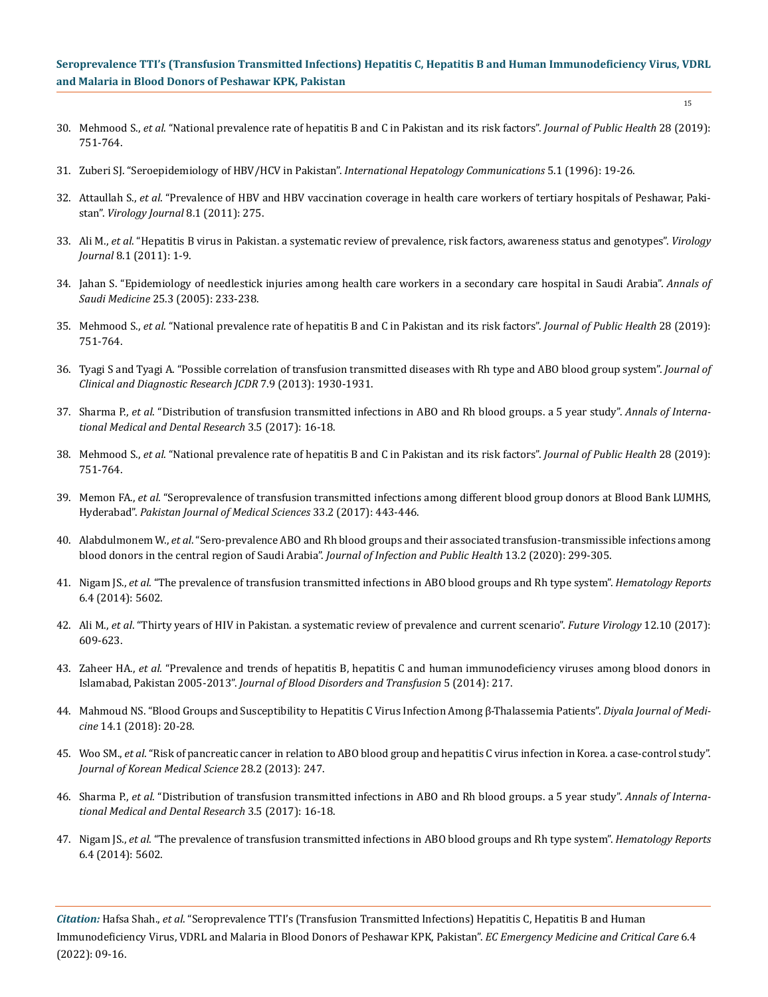- 30. Mehmood S., *et al*[. "National prevalence rate of hepatitis B and C in Pakistan and its risk factors".](https://link.springer.com/article/10.1007/s10389-019-01081-5) *Journal of Public Health* 28 (2019): [751-764.](https://link.springer.com/article/10.1007/s10389-019-01081-5)
- 31. Zuberi SJ. "Seroepidemiology of HBV/HCV in Pakistan". *International Hepatology Communications* 5.1 (1996): 19-26.
- 32. Attaullah S., *et al*[. "Prevalence of HBV and HBV vaccination coverage in health care workers of tertiary hospitals of Peshawar, Paki](https://pubmed.ncbi.nlm.nih.gov/21645287/)stan". *[Virology Journal](https://pubmed.ncbi.nlm.nih.gov/21645287/)* 8.1 (2011): 275.
- 33. Ali M., *et al*[. "Hepatitis B virus in Pakistan. a systematic review of prevalence, risk factors, awareness status and genotypes".](https://pubmed.ncbi.nlm.nih.gov/21375760/) *Virology Journal* [8.1 \(2011\): 1-9.](https://pubmed.ncbi.nlm.nih.gov/21375760/)
- 34. [Jahan S. "Epidemiology of needlestick injuries among health care workers in a secondary care hospital in Saudi Arabia".](https://pubmed.ncbi.nlm.nih.gov/16119525/) *Annals of Saudi Medicine* [25.3 \(2005\): 233-238.](https://pubmed.ncbi.nlm.nih.gov/16119525/)
- 35. Mehmood S., *et al*[. "National prevalence rate of hepatitis B and C in Pakistan and its risk factors".](https://link.springer.com/article/10.1007/s10389-019-01081-5) *Journal of Public Health* 28 (2019): [751-764.](https://link.springer.com/article/10.1007/s10389-019-01081-5)
- 36. [Tyagi S and Tyagi A. "Possible correlation of transfusion transmitted diseases with Rh type and ABO blood group system".](https://pubmed.ncbi.nlm.nih.gov/24179900/) *Journal of [Clinical and Diagnostic Research JCDR](https://pubmed.ncbi.nlm.nih.gov/24179900/)* 7.9 (2013): 1930-1931.
- 37. Sharma P., *et al*[. "Distribution of transfusion transmitted infections in ABO and Rh blood groups. a 5 year study".](https://www.researchgate.net/publication/320053728_Distribution_of_Transfusion_Transmitted_Infections_in_ABO_and_Rh_Blood_Groups_A_5_Year_Study) *Annals of Interna[tional Medical and Dental Research](https://www.researchgate.net/publication/320053728_Distribution_of_Transfusion_Transmitted_Infections_in_ABO_and_Rh_Blood_Groups_A_5_Year_Study)* 3.5 (2017): 16-18.
- 38. Mehmood S., *et al*[. "National prevalence rate of hepatitis B and C in Pakistan and its risk factors".](https://link.springer.com/article/10.1007/s10389-019-01081-5) *Journal of Public Health* 28 (2019): [751-764.](https://link.springer.com/article/10.1007/s10389-019-01081-5)
- 39. Memon FA., *et al*[. "Seroprevalence of transfusion transmitted infections among different blood group donors at Blood Bank LUMHS,](https://pubmed.ncbi.nlm.nih.gov/28523053/)  Hyderabad". *[Pakistan Journal of Medical Sciences](https://pubmed.ncbi.nlm.nih.gov/28523053/)* 33.2 (2017): 443-446.
- 40. Alabdulmonem W., *et al*[. "Sero-prevalence ABO and Rh blood groups and their associated transfusion-transmissible infections among](https://pubmed.ncbi.nlm.nih.gov/31953019/)  [blood donors in the central region of Saudi Arabia".](https://pubmed.ncbi.nlm.nih.gov/31953019/) *Journal of Infection and Public Health* 13.2 (2020): 299-305.
- 41. Nigam JS., *et al*[. "The prevalence of transfusion transmitted infections in ABO blood groups and Rh type system".](https://pubmed.ncbi.nlm.nih.gov/25568761/) *Hematology Reports* [6.4 \(2014\): 5602.](https://pubmed.ncbi.nlm.nih.gov/25568761/)
- 42. Ali M., *et al*[. "Thirty years of HIV in Pakistan. a systematic review of prevalence and current scenario".](https://www.futuremedicine.com/doi/abs/10.2217/fvl-2017-0009) *Future Virology* 12.10 (2017): [609-623.](https://www.futuremedicine.com/doi/abs/10.2217/fvl-2017-0009)
- 43. Zaheer HA., *et al*[. "Prevalence and trends of hepatitis B, hepatitis C and human immunodeficiency viruses among blood donors in](https://www.researchgate.net/publication/269692690_Prevalence_and_Trends_of_Hepatitis_B_Hepatitis_C_and_Human_Immunodeficiency_Viruses_among_Blood_Donors_in_Islamabad_Pakistan)  Islamabad, Pakistan 2005-2013". *[Journal of Blood Disorders and Transfusion](https://www.researchgate.net/publication/269692690_Prevalence_and_Trends_of_Hepatitis_B_Hepatitis_C_and_Human_Immunodeficiency_Viruses_among_Blood_Donors_in_Islamabad_Pakistan)* 5 (2014): 217.
- 44. [Mahmoud NS. "Blood Groups and Susceptibility to Hepatitis C Virus Infection Among β-Thalassemia Patients".](https://www.iasj.net/iasj/download/8f6e145cfc935122) *Diyala Journal of Medicine* [14.1 \(2018\): 20-28.](https://www.iasj.net/iasj/download/8f6e145cfc935122)
- 45. Woo SM., *et al*[. "Risk of pancreatic cancer in relation to ABO blood group and hepatitis C virus infection in Korea. a case-control study".](https://pubmed.ncbi.nlm.nih.gov/23400555/)  *[Journal of Korean Medical Science](https://pubmed.ncbi.nlm.nih.gov/23400555/)* 28.2 (2013): 247.
- 46. Sharma P., *et al*[. "Distribution of transfusion transmitted infections in ABO and Rh blood groups. a 5 year study".](https://www.researchgate.net/publication/320053728_Distribution_of_Transfusion_Transmitted_Infections_in_ABO_and_Rh_Blood_Groups_A_5_Year_Study) *Annals of Interna[tional Medical and Dental Research](https://www.researchgate.net/publication/320053728_Distribution_of_Transfusion_Transmitted_Infections_in_ABO_and_Rh_Blood_Groups_A_5_Year_Study)* 3.5 (2017): 16-18.
- 47. Nigam JS., *et al*[. "The prevalence of transfusion transmitted infections in ABO blood groups and Rh type system".](https://pubmed.ncbi.nlm.nih.gov/25568761/) *Hematology Reports* [6.4 \(2014\): 5602.](https://pubmed.ncbi.nlm.nih.gov/25568761/)

*Citation:* Hafsa Shah., *et al*. "Seroprevalence TTI's (Transfusion Transmitted Infections) Hepatitis C, Hepatitis B and Human Immunodeficiency Virus, VDRL and Malaria in Blood Donors of Peshawar KPK, Pakistan". *EC Emergency Medicine and Critical Care* 6.4 (2022): 09-16.